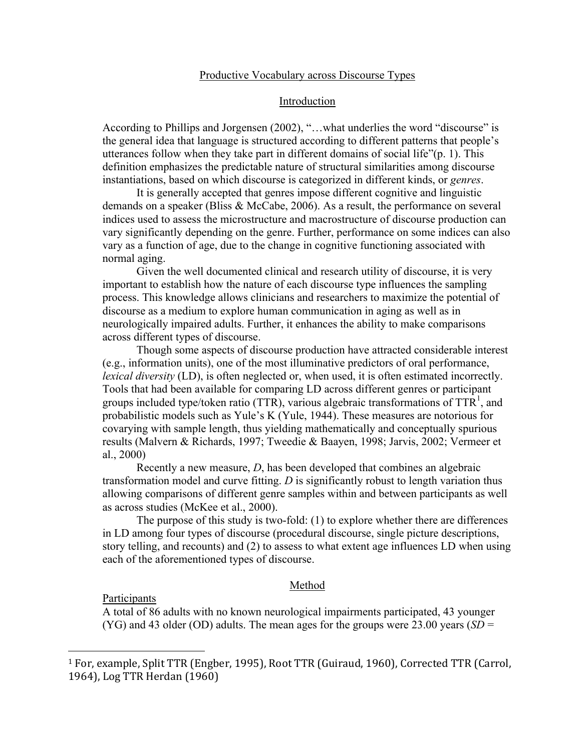## Productive Vocabulary across Discourse Types

## Introduction

According to Phillips and Jorgensen (2002), "…what underlies the word "discourse" is the general idea that language is structured according to different patterns that people's utterances follow when they take part in different domains of social life"(p. 1). This definition emphasizes the predictable nature of structural similarities among discourse instantiations, based on which discourse is categorized in different kinds, or *genres*.

It is generally accepted that genres impose different cognitive and linguistic demands on a speaker (Bliss & McCabe, 2006). As a result, the performance on several indices used to assess the microstructure and macrostructure of discourse production can vary significantly depending on the genre. Further, performance on some indices can also vary as a function of age, due to the change in cognitive functioning associated with normal aging.

Given the well documented clinical and research utility of discourse, it is very important to establish how the nature of each discourse type influences the sampling process. This knowledge allows clinicians and researchers to maximize the potential of discourse as a medium to explore human communication in aging as well as in neurologically impaired adults. Further, it enhances the ability to make comparisons across different types of discourse.

Though some aspects of discourse production have attracted considerable interest (e.g., information units), one of the most illuminative predictors of oral performance, *lexical diversity* (LD), is often neglected or, when used, it is often estimated incorrectly. Tools that had been available for comparing LD across different genres or participant groups included type/token ratio (TTR), various algebraic transformations of  $TTR<sup>1</sup>$ , and probabilistic models such as Yule's K (Yule, 1944). These measures are notorious for covarying with sample length, thus yielding mathematically and conceptually spurious results (Malvern & Richards, 1997; Tweedie & Baayen, 1998; Jarvis, 2002; Vermeer et al., 2000)

Recently a new measure, *D*, has been developed that combines an algebraic transformation model and curve fitting. *D* is significantly robust to length variation thus allowing comparisons of different genre samples within and between participants as well as across studies (McKee et al., 2000).

The purpose of this study is two-fold: (1) to explore whether there are differences in LD among four types of discourse (procedural discourse, single picture descriptions, story telling, and recounts) and (2) to assess to what extent age influences LD when using each of the aforementioned types of discourse.

#### Method

**Participants** 

!!!!!!!!!!!!!!!!!!!!!!!!!!!!!!!!!!!!!!!!!!!!!!!!!!!!!!!

A total of 86 adults with no known neurological impairments participated, 43 younger (YG) and 43 older (OD) adults. The mean ages for the groups were 23.00 years (*SD* =

<sup>&</sup>lt;sup>1</sup> For, example, Split TTR (Engber, 1995), Root TTR (Guiraud, 1960), Corrected TTR (Carrol, 1964), Log TTR Herdan (1960)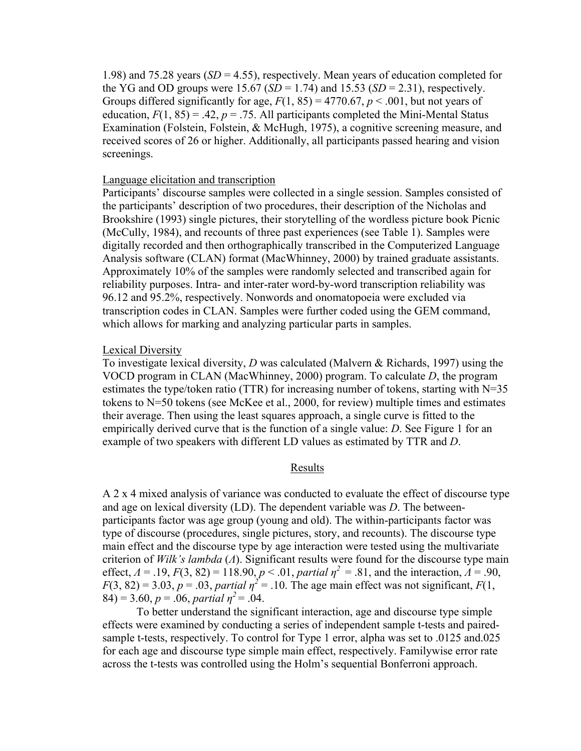1.98) and 75.28 years (*SD* = 4.55), respectively. Mean years of education completed for the YG and OD groups were  $15.67$  (*SD* = 1.74) and  $15.53$  (*SD* = 2.31), respectively. Groups differed significantly for age,  $F(1, 85) = 4770.67$ ,  $p < .001$ , but not years of education,  $F(1, 85) = .42$ ,  $p = .75$ . All participants completed the Mini-Mental Status Examination (Folstein, Folstein, & McHugh, 1975), a cognitive screening measure, and received scores of 26 or higher. Additionally, all participants passed hearing and vision screenings.

## Language elicitation and transcription

Participants' discourse samples were collected in a single session. Samples consisted of the participants' description of two procedures, their description of the Nicholas and Brookshire (1993) single pictures, their storytelling of the wordless picture book Picnic (McCully, 1984), and recounts of three past experiences (see Table 1). Samples were digitally recorded and then orthographically transcribed in the Computerized Language Analysis software (CLAN) format (MacWhinney, 2000) by trained graduate assistants. Approximately 10% of the samples were randomly selected and transcribed again for reliability purposes. Intra- and inter-rater word-by-word transcription reliability was 96.12 and 95.2%, respectively. Nonwords and onomatopoeia were excluded via transcription codes in CLAN. Samples were further coded using the GEM command, which allows for marking and analyzing particular parts in samples.

# Lexical Diversity

To investigate lexical diversity, *D* was calculated (Malvern & Richards, 1997) using the VOCD program in CLAN (MacWhinney, 2000) program. To calculate *D*, the program estimates the type/token ratio (TTR) for increasing number of tokens, starting with  $N=35$ tokens to N=50 tokens (see McKee et al., 2000, for review) multiple times and estimates their average. Then using the least squares approach, a single curve is fitted to the empirically derived curve that is the function of a single value: *D*. See Figure 1 for an example of two speakers with different LD values as estimated by TTR and *D*.

### Results

A 2 x 4 mixed analysis of variance was conducted to evaluate the effect of discourse type and age on lexical diversity (LD). The dependent variable was *D*. The betweenparticipants factor was age group (young and old). The within-participants factor was type of discourse (procedures, single pictures, story, and recounts). The discourse type main effect and the discourse type by age interaction were tested using the multivariate criterion of *Wilk's lambda* (*Λ*). Significant results were found for the discourse type main effect,  $A = .19$ ,  $F(3, 82) = 118.90$ ,  $p < .01$ , *partial*  $\eta^2 = .81$ , and the interaction,  $A = .90$ ,  $F(3, 82) = 3.03$ ,  $p = .03$ , *partial*  $p^2 = .10$ . The age main effect was not significant,  $F(1, p)$  $(84) = 3.60, p = .06,$  *partial*  $\eta^2 = .04$ .

To better understand the significant interaction, age and discourse type simple effects were examined by conducting a series of independent sample t-tests and pairedsample t-tests, respectively. To control for Type 1 error, alpha was set to .0125 and.025 for each age and discourse type simple main effect, respectively. Familywise error rate across the t-tests was controlled using the Holm's sequential Bonferroni approach.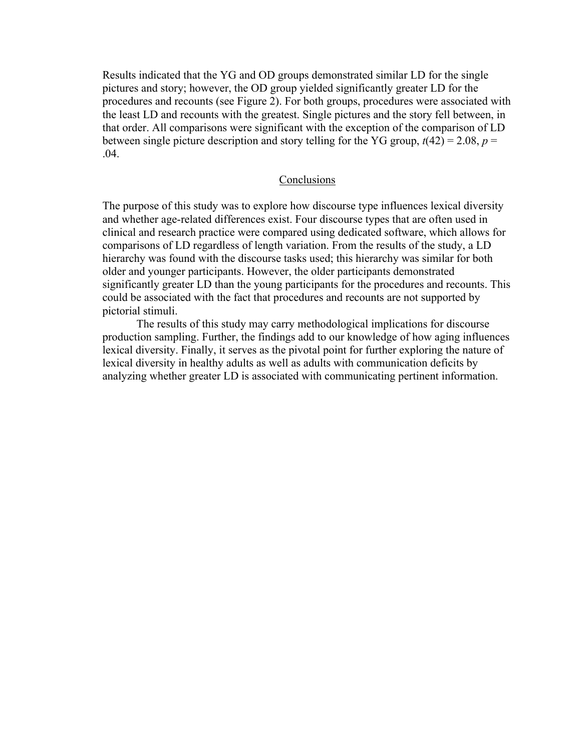Results indicated that the YG and OD groups demonstrated similar LD for the single pictures and story; however, the OD group yielded significantly greater LD for the procedures and recounts (see Figure 2). For both groups, procedures were associated with the least LD and recounts with the greatest. Single pictures and the story fell between, in that order. All comparisons were significant with the exception of the comparison of LD between single picture description and story telling for the YG group,  $t(42) = 2.08$ ,  $p =$ .04.

# **Conclusions**

The purpose of this study was to explore how discourse type influences lexical diversity and whether age-related differences exist. Four discourse types that are often used in clinical and research practice were compared using dedicated software, which allows for comparisons of LD regardless of length variation. From the results of the study, a LD hierarchy was found with the discourse tasks used; this hierarchy was similar for both older and younger participants. However, the older participants demonstrated significantly greater LD than the young participants for the procedures and recounts. This could be associated with the fact that procedures and recounts are not supported by pictorial stimuli.

The results of this study may carry methodological implications for discourse production sampling. Further, the findings add to our knowledge of how aging influences lexical diversity. Finally, it serves as the pivotal point for further exploring the nature of lexical diversity in healthy adults as well as adults with communication deficits by analyzing whether greater LD is associated with communicating pertinent information.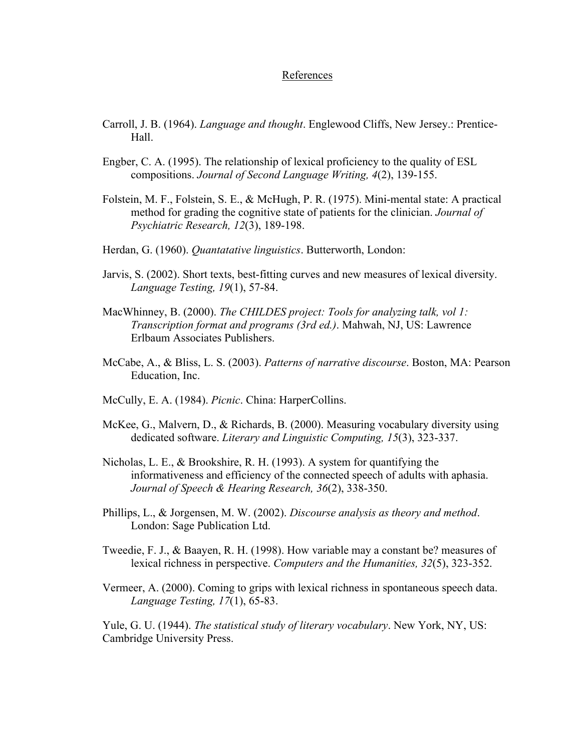### References

- Carroll, J. B. (1964). *Language and thought*. Englewood Cliffs, New Jersey.: Prentice-Hall.
- Engber, C. A. (1995). The relationship of lexical proficiency to the quality of ESL compositions. *Journal of Second Language Writing, 4*(2), 139-155.
- Folstein, M. F., Folstein, S. E., & McHugh, P. R. (1975). Mini-mental state: A practical method for grading the cognitive state of patients for the clinician. *Journal of Psychiatric Research, 12*(3), 189-198.
- Herdan, G. (1960). *Quantatative linguistics*. Butterworth, London:
- Jarvis, S. (2002). Short texts, best-fitting curves and new measures of lexical diversity. *Language Testing, 19*(1), 57-84.
- MacWhinney, B. (2000). *The CHILDES project: Tools for analyzing talk, vol 1: Transcription format and programs (3rd ed.)*. Mahwah, NJ, US: Lawrence Erlbaum Associates Publishers.
- McCabe, A., & Bliss, L. S. (2003). *Patterns of narrative discourse*. Boston, MA: Pearson Education, Inc.
- McCully, E. A. (1984). *Picnic*. China: HarperCollins.
- McKee, G., Malvern, D., & Richards, B. (2000). Measuring vocabulary diversity using dedicated software. *Literary and Linguistic Computing, 15*(3), 323-337.
- Nicholas, L. E., & Brookshire, R. H. (1993). A system for quantifying the informativeness and efficiency of the connected speech of adults with aphasia. *Journal of Speech & Hearing Research, 36*(2), 338-350.
- Phillips, L., & Jorgensen, M. W. (2002). *Discourse analysis as theory and method*. London: Sage Publication Ltd.
- Tweedie, F. J., & Baayen, R. H. (1998). How variable may a constant be? measures of lexical richness in perspective. *Computers and the Humanities, 32*(5), 323-352.
- Vermeer, A. (2000). Coming to grips with lexical richness in spontaneous speech data. *Language Testing, 17*(1), 65-83.

Yule, G. U. (1944). *The statistical study of literary vocabulary*. New York, NY, US: Cambridge University Press.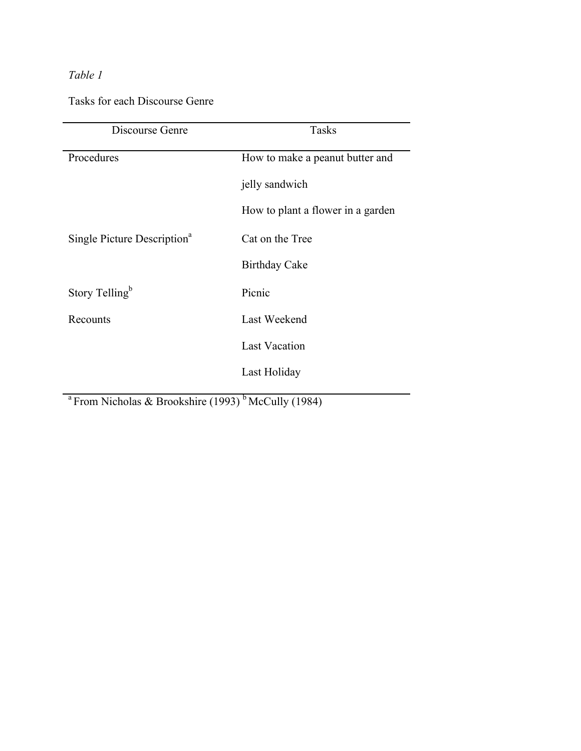# *Table 1*

Tasks for each Discourse Genre

| Discourse Genre                         | <b>Tasks</b>                      |
|-----------------------------------------|-----------------------------------|
| Procedures                              | How to make a peanut butter and   |
|                                         | jelly sandwich                    |
|                                         | How to plant a flower in a garden |
| Single Picture Description <sup>a</sup> | Cat on the Tree                   |
|                                         | <b>Birthday Cake</b>              |
| Story Telling <sup>b</sup>              | Picnic                            |
| Recounts                                | Last Weekend                      |
|                                         | <b>Last Vacation</b>              |
|                                         | Last Holiday                      |
|                                         |                                   |

<sup>a</sup> From Nicholas & Brookshire (1993)<sup>b</sup> McCully (1984)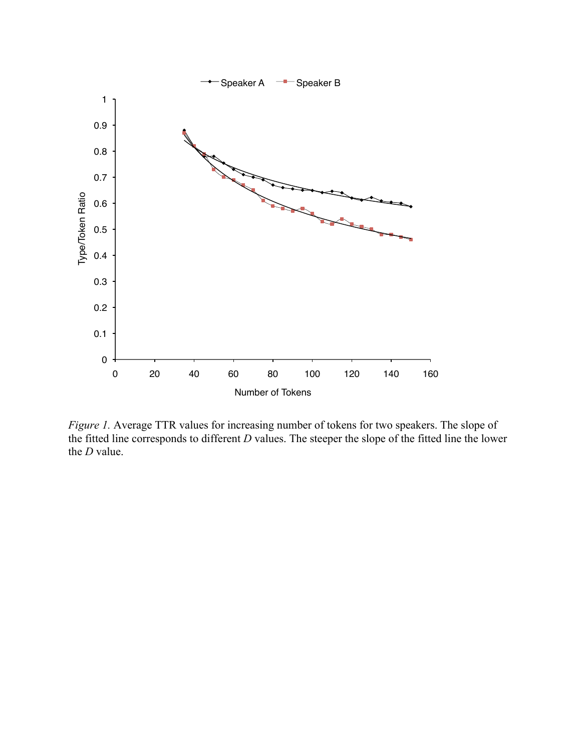

*Figure 1.* Average TTR values for increasing number of tokens for two speakers. The slope of the fitted line corresponds to different *D* values. The steeper the slope of the fitted line the lower the *D* value.